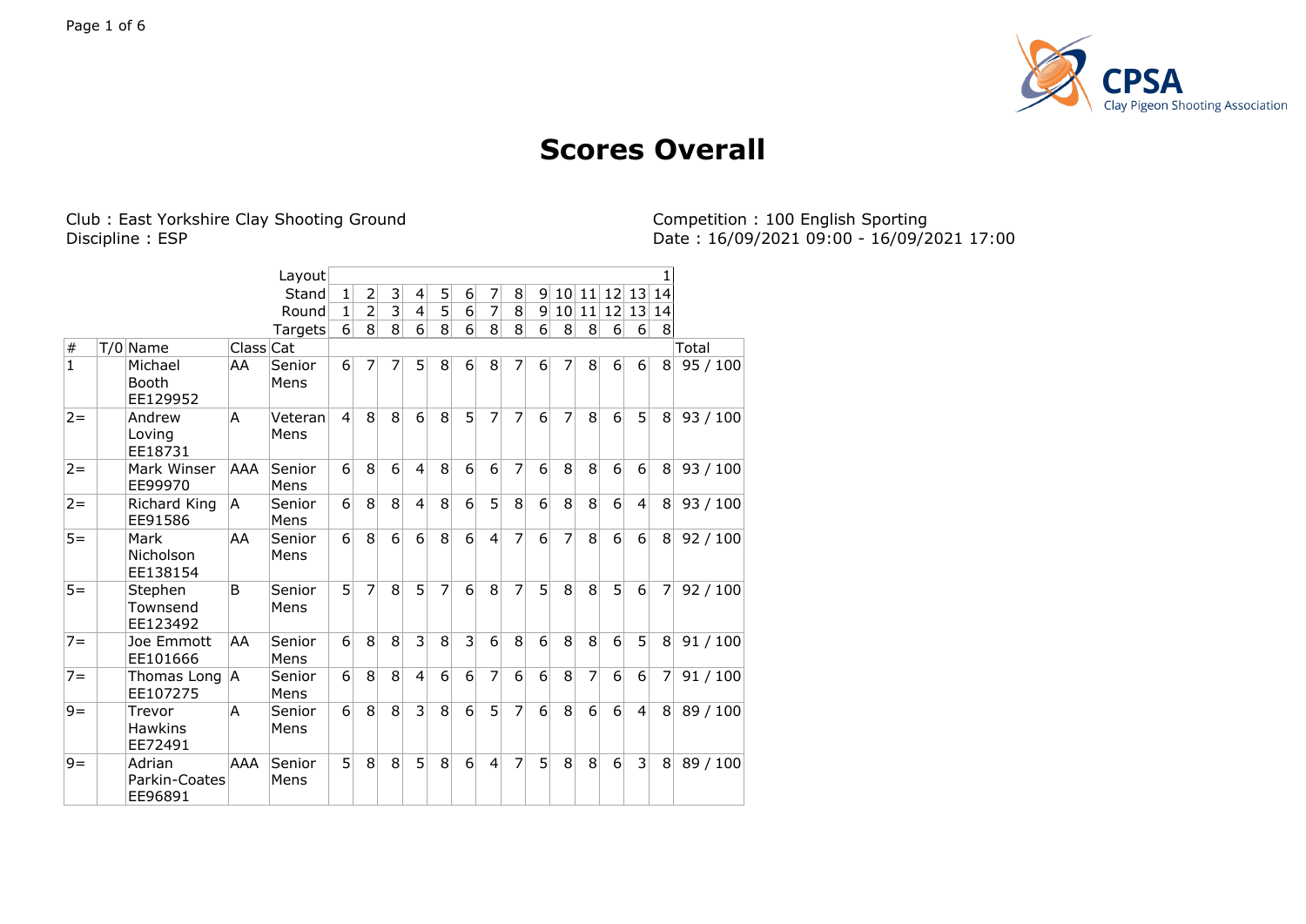

## **Scores Overall**

Club : East Yorkshire Clay Shooting Ground<br>Discipline : ESP

Competition : 100 English Sporting<br>Date : 16/09/2021 09:00 - 16/09/2021 17:00

|                |                                     |           | Layout          |              |                |                |                |   |                  |                |   |          |                 |    |                |                |                |          |
|----------------|-------------------------------------|-----------|-----------------|--------------|----------------|----------------|----------------|---|------------------|----------------|---|----------|-----------------|----|----------------|----------------|----------------|----------|
|                |                                     |           | Stand           | $\mathbf{1}$ | 2              | $\overline{3}$ | 4              | 5 | $6 \overline{6}$ | $\overline{7}$ | 8 | 9        | 10 <sup>1</sup> | 11 |                | 12 13          | 14             |          |
|                |                                     |           | Round           | 1            | $\overline{2}$ | $\overline{3}$ | $\overline{4}$ | 5 | $\overline{6}$   | $\overline{7}$ | 8 | 9        | 10 <sup>1</sup> | 11 |                | 12 13          | 14             |          |
|                |                                     |           | Targets         | $6 \mid$     | 8 <sup>1</sup> | $\overline{8}$ | $\overline{6}$ | 8 | 6                | 8              | 8 | $6 \mid$ | 8               | 8  | 6 <sup>1</sup> | 6              | 8              |          |
| $\#$           | T/0 Name                            | Class Cat |                 |              |                |                |                |   |                  |                |   |          |                 |    |                |                |                | Total    |
| $\overline{1}$ | Michael<br>Booth<br>EE129952        | AA        | Senior<br>Mens  | 6            | 7              | 7              | 5              | 8 | 6                | 8              | 7 | 6        | 7               | 8  | 6 <sup>1</sup> | 6              | 8              | 95/100   |
| $2 =$          | Andrew<br>Loving<br>EE18731         | A         | Veteran<br>Mens | 4            | 8              | 8              | 6              | 8 | 5                | $\overline{7}$ | 7 | 6        | 7               | 8  | $6 \mid$       | 5              | 8              | 93/100   |
| $2 =$          | Mark Winser<br>EE99970              | AAA       | Senior<br>Mens  | 6            | 8              | 6              | $\overline{4}$ | 8 | 6                | 6              | 7 | 6        | 8               | 8  | 6              | 6              | 8 <sup>1</sup> | 93/100   |
| $2 =$          | Richard King<br>EE91586             | A         | Senior<br>Mens  | 6            | 8              | 8              | $\overline{4}$ | 8 | 6                | 5              | 8 | 6        | 8               | 8  | 6              | $\overline{4}$ | 8 <sup>1</sup> | 93/100   |
| $5 =$          | Mark<br>Nicholson<br>EE138154       | AA        | Senior<br>Mens  | 6            | 8              | 6              | 6              | 8 | 6                | $\overline{4}$ | 7 | 6        | 7               | 8  | 6              | 6              | 8              | 92/100   |
| $5 =$          | Stephen<br>Townsend<br>EE123492     | B         | Senior<br>Mens  | 5            | 7              | 8              | 5              | 7 | $\overline{6}$   | 8              | 7 | 5        | 8               | 8  | 5 <sup>1</sup> | $\overline{6}$ | $\overline{7}$ | 92/100   |
| $7 =$          | Joe Emmott<br>EE101666              | AA        | Senior<br>Mens  | 6            | 8              | 8              | 3              | 8 | 3                | 6              | 8 | 6        | 8               | 8  | 6              | 5              | 8 <sup>1</sup> | 91/100   |
| $7 =$          | Thomas Long A<br>EE107275           |           | Senior<br>Mens  | 6            | 8              | 8              | $\overline{a}$ | 6 | 6                | $\overline{7}$ | 6 | 6        | 8               | 7  | 6              | 6              | 7              | 91/100   |
| $9 =$          | Trevor<br><b>Hawkins</b><br>EE72491 | A         | Senior<br>Mens  | 6            | 8              | 8              | 3              | 8 | 6                | 5              | 7 | 6        | 8               | 6  | 6              | $\overline{4}$ | 8 <sup>1</sup> | 89 / 100 |
| $9 =$          | Adrian<br>Parkin-Coates<br>EE96891  | AAA       | Senior<br>Mens  | 5            | 8              | 8              | 5              | 8 | 6                | $\overline{4}$ | 7 | 5        | 8               | 8  | 6 <sup>1</sup> | 3              | 8 <sup>1</sup> | 89 / 100 |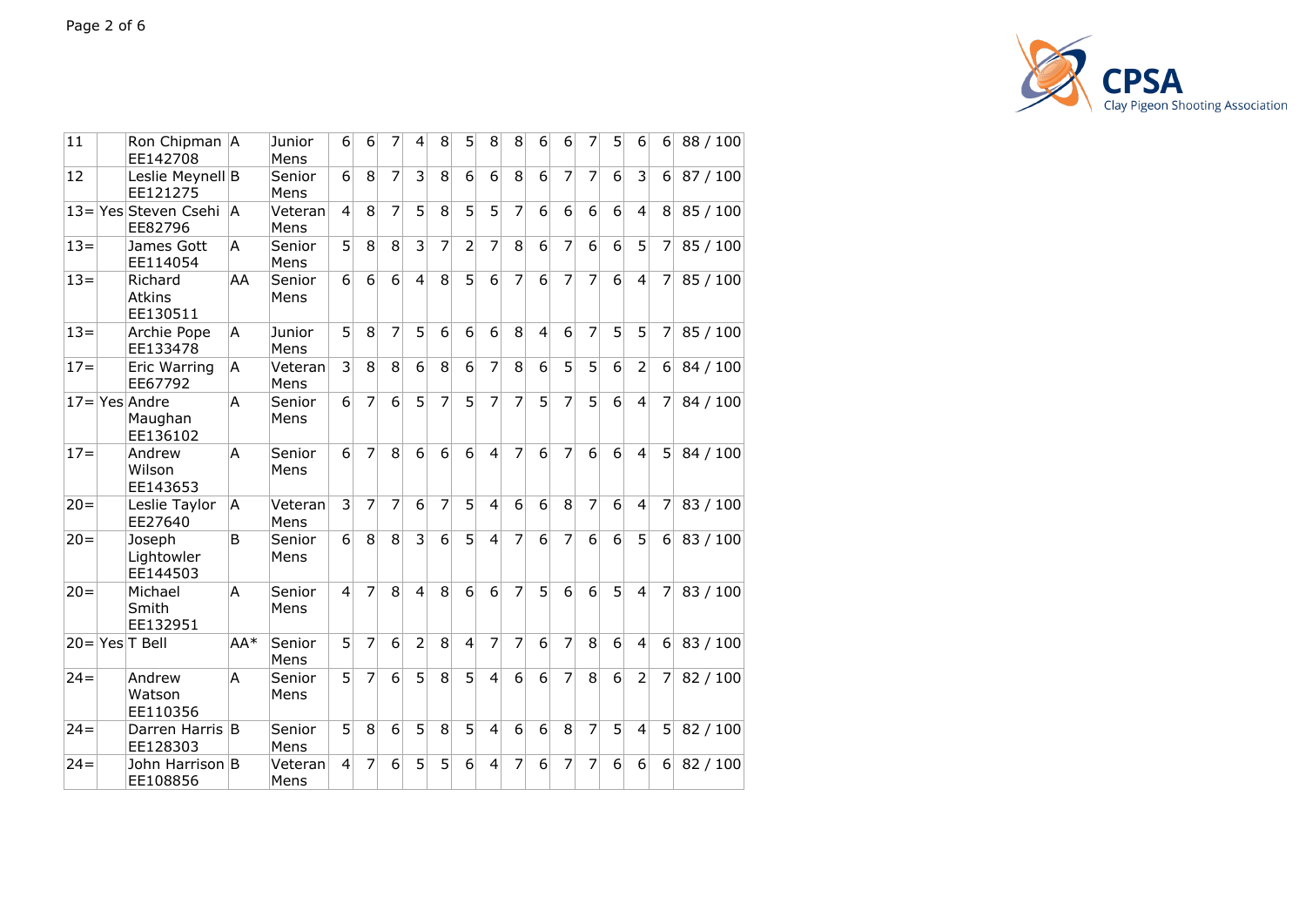

| 11     | Ron Chipman   A<br>EE142708             |              | Junior<br>Mens  | 61               | 6              | 7              | 4              | 8              | 5              | 8                       | 8               | 6              | 6              | 7              | 51              | 6               | 6              | 88/100   |
|--------|-----------------------------------------|--------------|-----------------|------------------|----------------|----------------|----------------|----------------|----------------|-------------------------|-----------------|----------------|----------------|----------------|-----------------|-----------------|----------------|----------|
| 12     | Leslie Meynell B<br>EE121275            |              | Senior<br>Mens  | 6 <sup>1</sup>   | 8              | 7              | 3              | 8              | 6              | 6                       | 8               | 6              | 7              | 7              | 6               | 3               | 6 <sup>1</sup> | 87 / 100 |
|        | 13=Yes Steven Csehi  A<br>EE82796       |              | Veteran<br>Mens | $\vert 4 \vert$  | 8              | $\overline{7}$ | 5              | 8              | 5              | 5                       | 7               | 6              | 6              | $6 \mid$       | 6               | $\overline{4}$  | 8              | 85 / 100 |
| $13 =$ | James Gott<br>EE114054                  | A            | Senior<br>Mens  | $\overline{5}$   | 8              | 8              | $\overline{3}$ | 7              | $\overline{2}$ | 7                       | 8               | 6              | 7              | $6 \mid$       | $\overline{6}$  | 5               | 7              | 85 / 100 |
| $13 =$ | Richard<br><b>Atkins</b><br>EE130511    | AA           | Senior<br>Mens  | $6 \mid$         | 6              | $\overline{6}$ | $\overline{4}$ | 8              | $\overline{5}$ | $\overline{6}$          | $\overline{7}$  | 6              | 7              | $\overline{7}$ | 6               | $\vert 4 \vert$ | 7              | 85 / 100 |
| $13=$  | Archie Pope<br>EE133478                 | A            | Junior<br>Mens  | 5                | 8              | $\overline{7}$ | 5              | 6              | 6              | $6 \overline{6}$        | 8               | $\overline{4}$ | 6              | 7              | 5               | 5               | 7              | 85 / 100 |
| $17=$  | Eric Warring<br>EE67792                 | A            | Veteran<br>Mens | 3 <sup>1</sup>   | 8              | 8              | 6              | 8              | 6              | 7                       | 8               | 6              | 5              | 5              | 6               | $\overline{2}$  | 6 <sup>1</sup> | 84 / 100 |
|        | $17 =$ Yes Andre<br>Maughan<br>EE136102 | А            | Senior<br>Mens  | $\overline{6}$   | $\overline{7}$ | $\overline{6}$ | 5              | $\overline{7}$ | 5              | 7                       | $\overline{7}$  | 5              | $\overline{7}$ | 5              | $6\overline{6}$ | $\vert 4 \vert$ | 7              | 84 / 100 |
| $17 =$ | Andrew<br>Wilson<br>EE143653            | A            | Senior<br>Mens  | 6                | 7              | 8              | 6              | 6              | 6              | $\overline{4}$          | 7               | 6              | 7              | 6              | 6               | $\vert$         | 5              | 84 / 100 |
| $20 =$ | Leslie Taylor<br>EE27640                | A            | Veteran<br>Mens | 3                | 7              | 7              | 6              | 7              | 5              | $\overline{4}$          | 6               | 6              | 8              | 7              | 6               | 4               | 7              | 83 / 100 |
| $20 =$ | Joseph<br>Lightowler<br>EE144503        | <sub>B</sub> | Senior<br>Mens  | $6 \overline{6}$ | 8              | 8              | 3              | 6              | 5              | $\overline{4}$          | 7               | 6              | 7              | 6              | 6               | 5               | 6              | 83 / 100 |
| $20 =$ | Michael<br>Smith<br>EE132951            | A            | Senior<br>Mens  | $\overline{4}$   | 7              | 8              | $\overline{4}$ | 8              | 6              | 6                       | 7               | 5              | 6              | 6              | 5               | $\vert$         | 7              | 83 / 100 |
|        | $20 = \text{Yes}$ T Bell                | AA*          | Senior<br>Mens  | 5                | 7              | 6              | $\overline{2}$ | 8              | $\overline{4}$ | 7                       | 7               | 6              | 7              | 8              | 6               | $\overline{4}$  | 6              | 83 / 100 |
| $24 =$ | Andrew<br>Watson<br>EE110356            | A            | Senior<br>Mens  | 5                | 7              | 6              | 5              | 8              | 5              | $\overline{4}$          | $6\overline{6}$ | 6              | 7              | 8              | 6               | $\overline{2}$  | 7              | 82 / 100 |
| $24 =$ | Darren Harris B<br>EE128303             |              | Senior<br>Mens  | 5                | 8              | 6              | 5              | 8              | 5              | $\overline{4}$          | 6               | 6              | 8              | 7              | 5               | $\overline{4}$  | 5              | 82 / 100 |
| $24 =$ | John Harrison B<br>EE108856             |              | Veteran<br>Mens | $\vert$          | 7              | 6              | 5              | 5              | 6              | $\overline{\mathbf{4}}$ | 7               | 6              | 7              | 7              | 6               | 6               | 6              | 82 / 100 |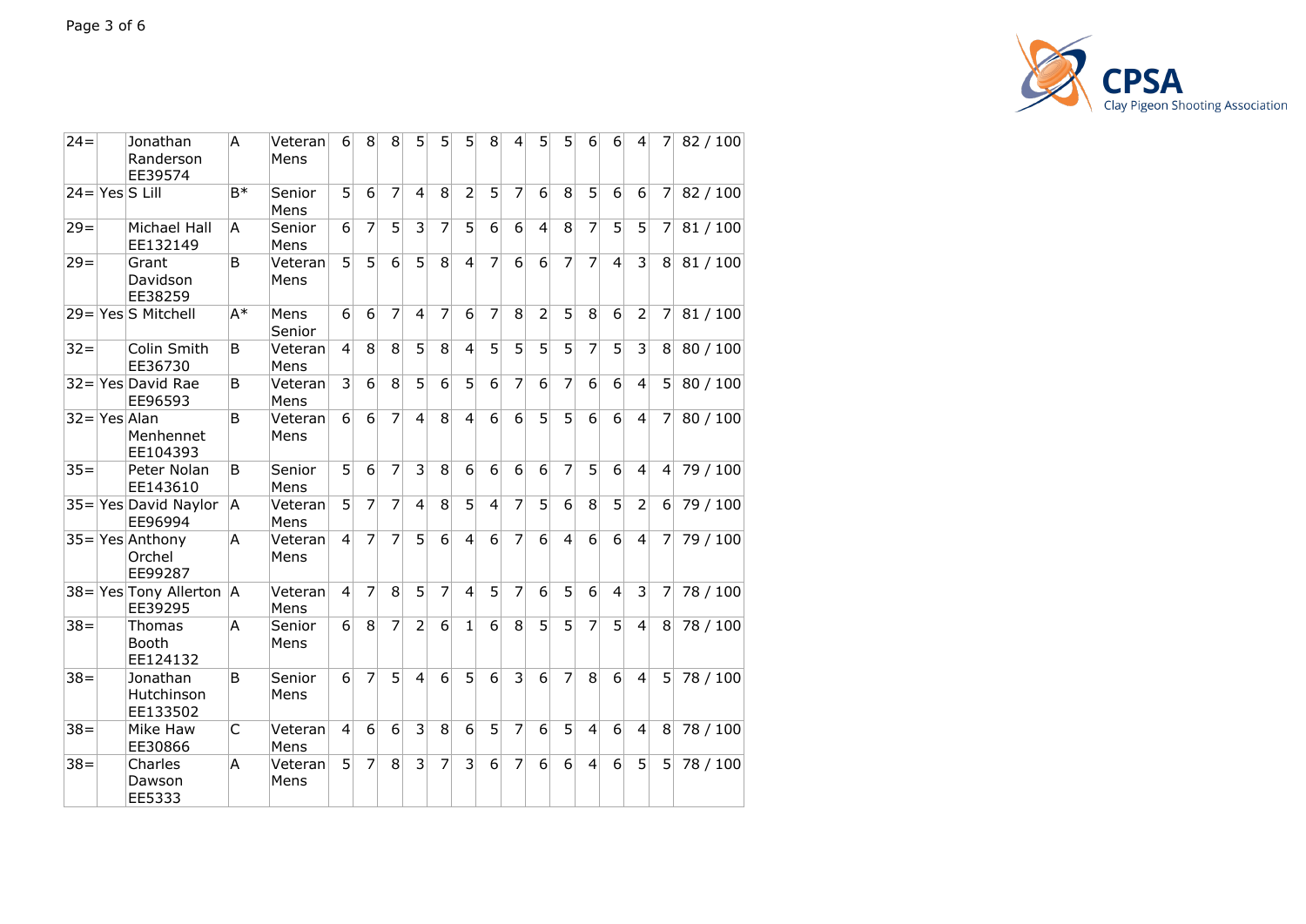

| $24 =$ | Jonathan<br>Randerson<br>EE39574         | A            | Veteran<br>Mens | $6 \mid$         | 8              | 8              | 5               | 5              | 5              | 8                | $\overline{4}$ | 5               | 5 <sup>1</sup> | $6 \mid$       | 6              | $\vert 4 \vert$  | 71             | 82/100   |
|--------|------------------------------------------|--------------|-----------------|------------------|----------------|----------------|-----------------|----------------|----------------|------------------|----------------|-----------------|----------------|----------------|----------------|------------------|----------------|----------|
|        | $24 = Yes$ S Lill                        | $B*$         | Senior<br>Mens  | 5                | 6              | $\overline{7}$ | $\overline{a}$  | 8              | $\overline{2}$ | 5                | 7              | 6               | 8              | 5              | 6              | $6 \overline{6}$ | 7              | 82 / 100 |
| $29 =$ | Michael Hall<br>EE132149                 | A            | Senior<br>Mens  | 6                | 7              | 5              | 3               | 7              | 5              | 6                | 6              | $\overline{4}$  | 8              | $\overline{7}$ | 5              | 5                | 7              | 81/100   |
| $29 =$ | Grant<br>Davidson<br>EE38259             | B            | Veteran<br>Mens | 5                | 5              | 6              | 5               | 8              | $\overline{4}$ | $\overline{7}$   | 6              | 6               | $\overline{7}$ | 7              | $\overline{4}$ | 3                | 8              | 81/100   |
|        | 29=Yes S Mitchell                        | $A^*$        | Mens<br>Senior  | $\overline{6}$   | 6              | $\overline{7}$ | $\overline{4}$  | $\overline{7}$ | $\overline{6}$ | 7                | 8              | $\overline{2}$  | $\overline{5}$ | 8              | $\overline{6}$ | $\overline{2}$   | 7              | 81/100   |
| $32 =$ | Colin Smith<br>EE36730                   | B            | Veteran<br>Mens | $\overline{4}$   | 8              | 8              | $\overline{5}$  | 8              | $\overline{4}$ | $\overline{5}$   | 5              | $\overline{5}$  | $\overline{5}$ | $\overline{7}$ | 5              | $\overline{3}$   | 8              | 80 / 100 |
|        | 32=Yes David Rae<br>EE96593              | B            | Veteran<br>Mens | $\overline{3}$   | 6              | 8              | $\overline{5}$  | 6              | $\overline{5}$ | $6 \overline{6}$ | $\overline{7}$ | 6               | $\overline{7}$ | $6 \mid$       | 6              | $\overline{4}$   | 5 <sup>1</sup> | 80 / 100 |
|        | $32 = Yes$ Alan<br>Menhennet<br>EE104393 | <sub>B</sub> | Veteran<br>Mens | $6 \mid$         | 6              | $\overline{7}$ | $\vert 4 \vert$ | 8              | $\overline{4}$ | $\overline{6}$   | 6              | 5               | 5              | 6              | 6              | $\vert 4 \vert$  | 7              | 80 / 100 |
| $35 =$ | Peter Nolan<br>EE143610                  | B            | Senior<br>Mens  | 5                | 6              | 7              | 3               | 8              | 6              | 6                | 6              | 6               | 7              | 5              | 6              | $\overline{4}$   | 4              | 79 / 100 |
|        | $35 =$ Yes David Naylor<br>EE96994       | A            | Veteran<br>Mens | 5                | $\overline{7}$ | 7              | $\overline{4}$  | 8              | $\overline{5}$ | $\overline{4}$   | $\overline{7}$ | $\overline{5}$  | 6              | 8              | $\overline{5}$ | $\overline{2}$   | 6              | 79 / 100 |
|        | $35 =$ Yes Anthony<br>Orchel<br>EE99287  | A            | Veteran<br>Mens | $\overline{4}$   | 7              | $\overline{7}$ | 5               | 6              | $\overline{4}$ | 6                | 7              | 6               | $\overline{4}$ | 6              | 6              | $\overline{4}$   | 7              | 79 / 100 |
|        | 38=Yes Tony Allerton   A<br>EE39295      |              | Veteran<br>Mens | $\overline{4}$   | $\overline{7}$ | 8              | 5               | $\overline{7}$ | $\overline{4}$ | $5\overline{)}$  | $\overline{7}$ | 6               | 5              | 6              | $\overline{4}$ | 3                | 7              | 78 / 100 |
| $38 =$ | Thomas<br><b>Booth</b><br>EE124132       | A            | Senior<br>Mens  | $6 \mid$         | 8              | 7              | $\overline{2}$  | 6              | $\mathbf{1}$   | $\overline{6}$   | 8              | 5               | 5              | $\overline{7}$ | 5              | $\overline{4}$   | 8 <sup>1</sup> | 78 / 100 |
| $38 =$ | Jonathan<br>Hutchinson<br>EE133502       | B            | Senior<br>Mens  | $6 \overline{6}$ | $\overline{7}$ | 5              | 4               | 6              | $\overline{5}$ | $\overline{6}$   | 3              | $6\overline{6}$ | 7              | 8              | 6              | $\overline{4}$   | 5 <sup>1</sup> | 78 / 100 |
| $38 =$ | Mike Haw<br>EE30866                      | C            | Veteran<br>Mens | $\overline{4}$   | 6              | 6              | 3               | 8              | 6              | 5                | 7              | 6               | 5              | 4              | 6              | $\overline{4}$   | 8              | 78 / 100 |
| $38 =$ | Charles<br>Dawson<br>EE5333              | A            | Veteran<br>Mens | 5                | 7              | 8              | 3               | 7              | 3              | 6                | 7              | 6               | 6              | 4              | 6              | 5                | 5              | 78 / 100 |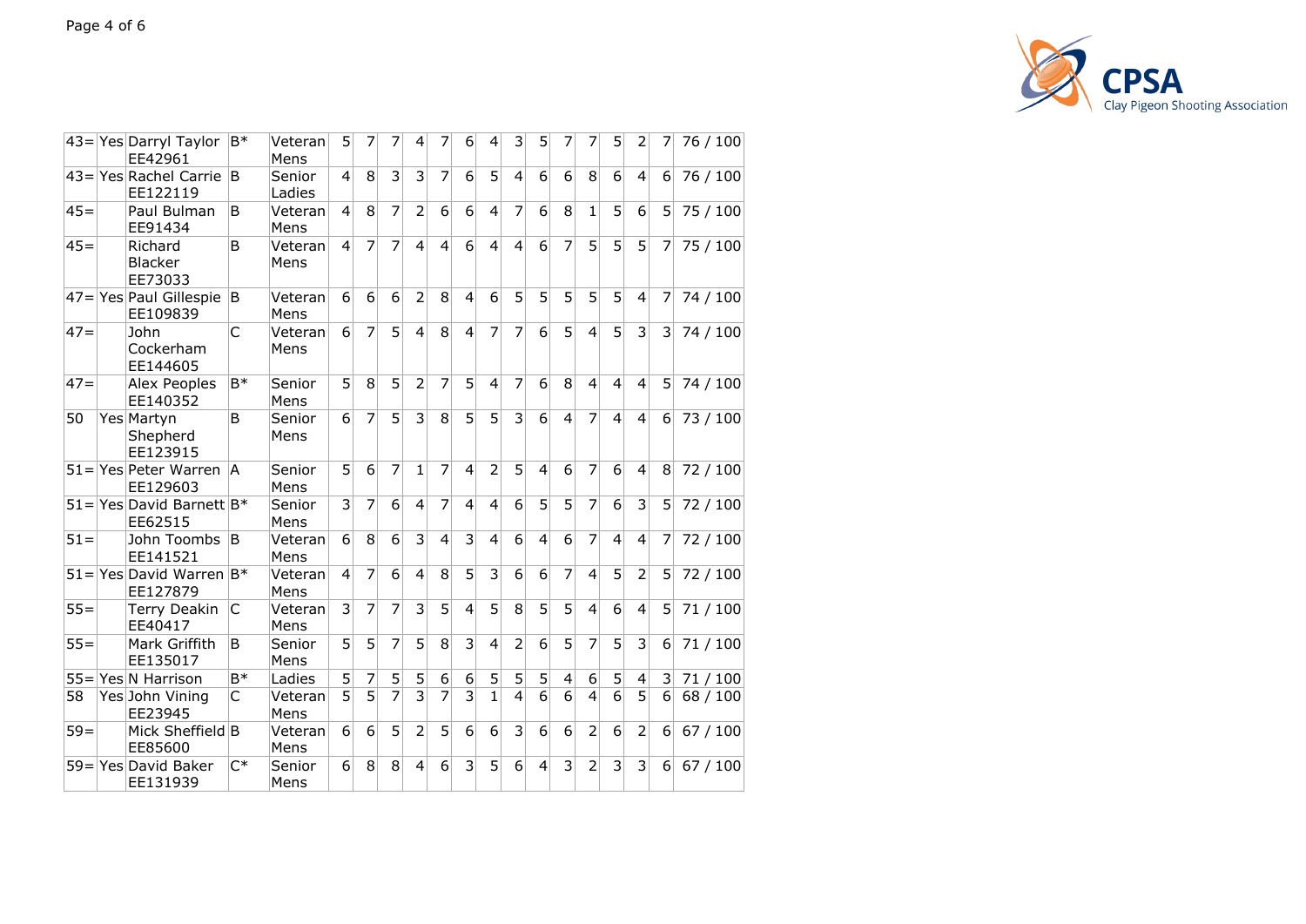

|        | $43=$ Yes Darryl Taylor $ B^* $<br>EE42961 |       | Veteran<br>Mens  | 5              | 7              | 7               | $\overline{4}$           | 7              | 6                       | 4                       | 3                | 5 <sup>1</sup>   | 7                       | 7 <sup>1</sup>  | 51               | 2                       | 7 <sup>1</sup>   | 76 / 100 |
|--------|--------------------------------------------|-------|------------------|----------------|----------------|-----------------|--------------------------|----------------|-------------------------|-------------------------|------------------|------------------|-------------------------|-----------------|------------------|-------------------------|------------------|----------|
|        | 43= Yes Rachel Carrie B<br>EE122119        |       | Senior<br>Ladies | $\overline{4}$ | 8              | 3               | 3                        | 7              | 6                       | 5                       | 4                | $6 \overline{6}$ | 6                       | 8               | 6                | $\overline{4}$          | 6 <sup>1</sup>   | 76 / 100 |
| $45 =$ | Paul Bulman<br>EE91434                     | B.    | Veteran<br>Mens  | $\vert$        | 8              | $\overline{7}$  | $\overline{\phantom{a}}$ | 6              | 6                       | $\overline{\mathbf{4}}$ | 7                | $6 \overline{6}$ | 8                       | 1               | $\overline{5}$   | $6 \mid$                | 5 <sup>1</sup>   | 75 / 100 |
| $45 =$ | Richard<br><b>Blacker</b><br>EE73033       | B     | Veteran<br>Mens  | 4              | 7              | 7               | $\overline{a}$           | $\overline{4}$ | 6                       | 4                       | $\overline{4}$   | $\overline{6}$   | 7                       | 5               | 5                | 5                       | 7                | 75 / 100 |
|        | $ 47= Yes  Paul Gillespie B$<br>EE109839   |       | Veteran<br>Mens  | 6              | 6              | $6\overline{6}$ | $\overline{2}$           | 8              | $\overline{4}$          | $\overline{6}$          | 5                | 5                | 5                       | 5               | 5                | $\overline{4}$          | 7                | 74 / 100 |
| $47 =$ | John<br>Cockerham<br>EE144605              | C     | Veteran<br>Mens  | 6              | $\overline{7}$ | 5               | $\overline{\mathbf{4}}$  | 8              | $\overline{4}$          | $\overline{7}$          | $\overline{7}$   | 6                | 5                       | $\overline{4}$  | $\overline{5}$   | $\overline{3}$          | 3                | 74 / 100 |
| $47=$  | Alex Peoples<br>EE140352                   | $B*$  | Senior<br>Mens   | 5              | 8              | 5               | $\overline{2}$           | 7              | 5                       | $\overline{4}$          | 7                | 6                | 8                       | 4               | $\overline{4}$   | $\overline{4}$          | 5                | 74 / 100 |
| 50     | Yes Martyn<br>Shepherd<br>EE123915         | B     | Senior<br>Mens   | 6              | $\overline{7}$ | $\overline{5}$  | $\overline{3}$           | 8              | $\overline{5}$          | $\overline{5}$          | $\overline{3}$   | 6                | $\overline{\mathbf{4}}$ | $\overline{7}$  | $\overline{4}$   | $\overline{4}$          | 6                | 73 / 100 |
|        | 51=Yes Peter Warren   A<br>EE129603        |       | Senior<br>Mens   | 5              | 6              | 7               | 1                        | 7              | $\overline{4}$          | $\overline{2}$          | 5                | $\overline{4}$   | 6                       | 7               | 6                | $\overline{4}$          | 8                | 72 / 100 |
|        | $51 =$ Yes David Barnett B*<br>EE62515     |       | Senior<br>Mens   | 3              | 7              | 6               | $\overline{4}$           | 7              | $\overline{4}$          | $\overline{4}$          | $6 \mid$         | 5                | 5                       | 7               | $6 \overline{6}$ | 3                       | 5                | 72 / 100 |
| $51 =$ | John Toombs B<br>EE141521                  |       | Veteran<br>Mens  | 6              | 8              | 6               | 3                        | $\overline{4}$ | $\overline{3}$          | $\overline{4}$          | $6 \overline{6}$ | $\overline{4}$   | 6                       | $\overline{7}$  | $\overline{4}$   | $\overline{4}$          | 7                | 72 / 100 |
|        | $51 =$ Yes David Warren   B*<br>EE127879   |       | Veteran<br>Mens  | 4              | 7              | 6               | $\overline{a}$           | 8              | $\overline{5}$          | $\overline{3}$          | $6 \mid$         | $\overline{6}$   | 7                       | $\overline{4}$  | 5                | $\overline{2}$          | 5 <sup>1</sup>   | 72/100   |
| $55 =$ | Terry Deakin<br>EE40417                    | lC.   | Veteran<br>Mens  | 3              | 7              | $\overline{7}$  | 3                        | 5              | $\overline{4}$          | 5                       | 8 <sup>1</sup>   | 5                | 5                       | $\vert 4 \vert$ | $6 \overline{6}$ | $\overline{4}$          | 5 <sup>1</sup>   | 71/100   |
| $55 =$ | Mark Griffith<br>EE135017                  | B     | Senior<br>Mens   | 5              | 5              | 7               | 5                        | 8              | $\overline{3}$          | $\overline{4}$          | $\overline{2}$   | 6                | $\overline{5}$          | $\overline{7}$  | $\overline{5}$   | $\overline{3}$          | 6                | 71/100   |
| $55 =$ | Yes N Harrison                             | B*    | Ladies           | 5              | 7              | 5               | 5                        | 6              | 6                       | 5                       | 5 <sup>1</sup>   | 5                | $\overline{4}$          | $6\vert$        | 5 <sup>1</sup>   | $\overline{4}$          | 3 <sup>1</sup>   | 71/100   |
| 58     | Yes John Vining<br>EE23945                 | C     | Veteran<br>Mens  | 5              | $\overline{5}$ | $\overline{7}$  | $\overline{3}$           | 7              | 3                       | $\mathbf{1}$            | $\overline{4}$   | 6                | 6                       | $\overline{4}$  | 6                | 5                       | $6 \overline{6}$ | 68 / 100 |
| $59=$  | Mick Sheffield B<br>EE85600                |       | Veteran<br>Mens  | $6 \mid$       | 6              | 5               | $\overline{2}$           | 5              | 6                       | 6                       | 3                | 6                | 6                       | $\overline{2}$  | $6 \overline{6}$ | $\overline{2}$          | $6 \overline{6}$ | 67/100   |
|        | 59=Yes David Baker<br>EE131939             | $C^*$ | Senior<br>Mens   | 6              | 8              | 8               | 4                        | 6              | $\overline{\mathbf{3}}$ | 5                       | 6                | $\overline{4}$   | $\overline{3}$          | $\overline{2}$  | $\overline{3}$   | $\overline{\mathbf{3}}$ | $6 \overline{6}$ | 67/100   |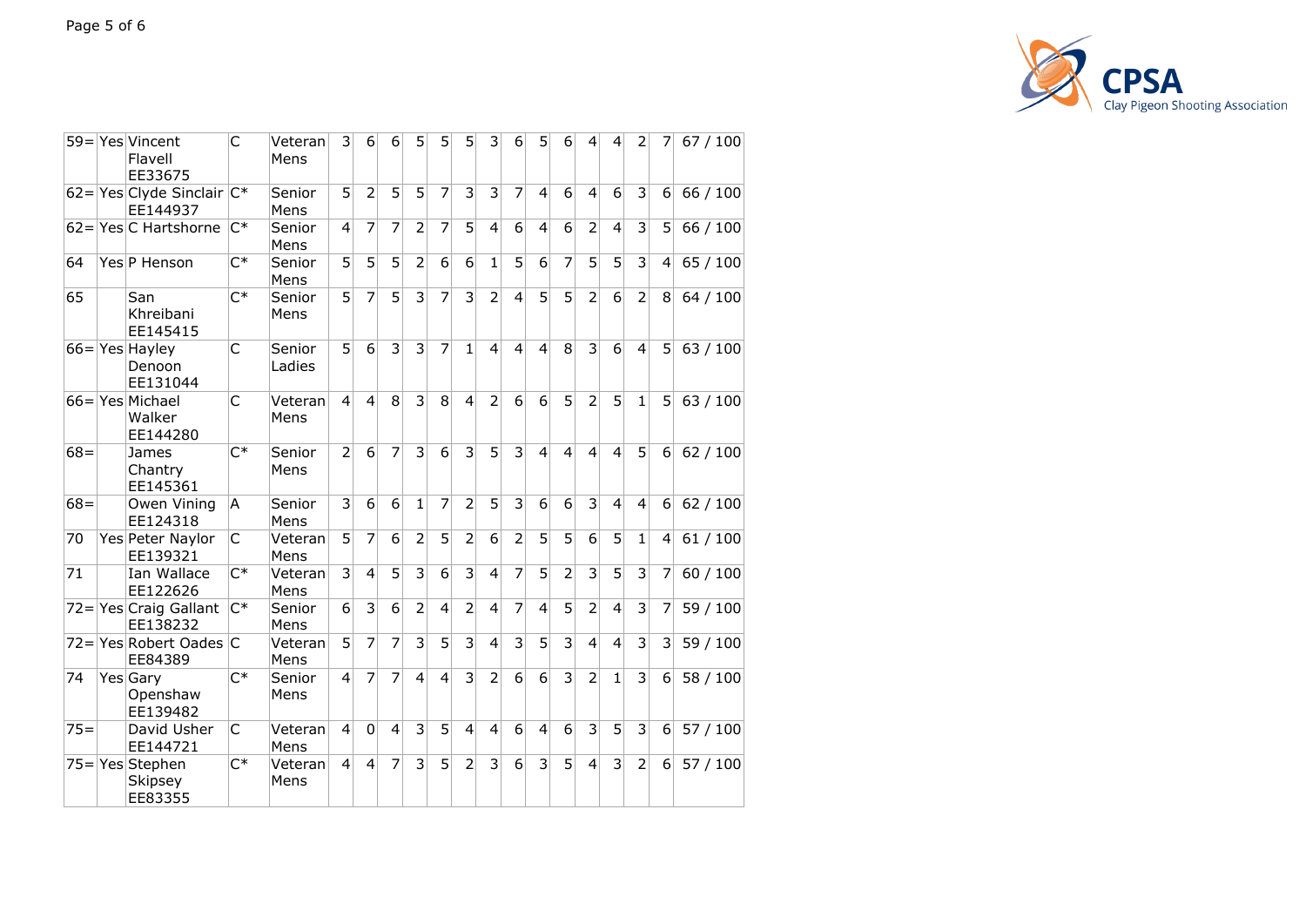

|        | 59 = Yes Vincent<br>Flavell<br>EE33675  | C              | Veteran<br>Mens  | 3              | 6                       | 6              | 5              | 5              | 5              | 3                       | 6                       | 5              | 6                       | 4              | $\overline{4}$          | 2              | 7              | 67/100   |
|--------|-----------------------------------------|----------------|------------------|----------------|-------------------------|----------------|----------------|----------------|----------------|-------------------------|-------------------------|----------------|-------------------------|----------------|-------------------------|----------------|----------------|----------|
|        | 62= $Yes Clyde Sinclude $<br>EE144937   |                | Senior<br>Mens   | 5              | $\overline{2}$          | 5              | 5              | $\overline{7}$ | 3              | 3                       | 7                       | $\overline{a}$ | 6                       | 4              | 6                       | 3              | 6 <sup>1</sup> | 66 / 100 |
|        | $62 =$ Yes C Hartshorne                 | $C^*$          | Senior<br>Mens   | $\overline{4}$ | 7                       | 7              | $\overline{2}$ | $\overline{7}$ | 5              | $\overline{\mathbf{4}}$ | 6                       | $\overline{4}$ | 6                       | $\overline{2}$ | $\overline{\mathbf{4}}$ | 3              | 5              | 66 / 100 |
| 64     | Yes P Henson                            | $C^*$          | Senior<br>Mens   | 5              | 5                       | 5              | 2              | 6              | 6              | $\mathbf{1}$            | 5                       | 6              | 7                       | 5              | $\overline{5}$          | 3              | 4              | 65/100   |
| 65     | San<br>Khreibani<br>EE145415            | $C^*$          | Senior<br>Mens   | 5              | 7                       | 5              | 3              | $\overline{7}$ | 3              | 2                       | $\overline{\mathbf{4}}$ | 5              | 5                       | $\overline{2}$ | 6                       | $\overline{2}$ | 8              | 64 / 100 |
|        | $66 = Yes$ Hayley<br>Denoon<br>EE131044 | $\mathsf{C}$   | Senior<br>Ladies | $\overline{5}$ | 6                       | $\overline{3}$ | $\overline{3}$ | $\overline{7}$ | $\mathbf{1}$   | $\overline{4}$          | $\overline{4}$          | $\overline{4}$ | 8                       | 3              | $\overline{6}$          | $\overline{4}$ | 5 <sup>1</sup> | 63/100   |
|        | 66=Yes Michael<br>Walker<br>EE144280    | C              | Veteran<br>Mens  | $\overline{4}$ | $\overline{\mathbf{4}}$ | 8              | 3              | 8              | $\overline{4}$ | 2                       | 6                       | 6              | 5                       | $\overline{2}$ | $\overline{5}$          | $\mathbf{1}$   | 5 <sup>1</sup> | 63/100   |
| $68 =$ | James<br>Chantry<br>EE145361            | $C^*$          | Senior<br>Mens   | $\overline{2}$ | 6                       | $\overline{7}$ | 3              | 6              | 3              | 5                       | 3                       | $\overline{4}$ | $\overline{\mathbf{4}}$ | 4              | $\overline{4}$          | 5              | 6              | 62/100   |
| $68 =$ | Owen Vining<br>EE124318                 | A              | Senior<br>Mens   | 3              | 6                       | $\overline{6}$ | $\overline{1}$ | $\overline{7}$ | $\overline{2}$ | 5                       | $\overline{3}$          | $\overline{6}$ | $\overline{6}$          | $\overline{3}$ | $\overline{4}$          | $\overline{4}$ | 6              | 62/100   |
| 70     | Yes Peter Naylor<br>EE139321            | C              | Veteran<br>Mens  | 5              | $\overline{7}$          | 6              | 2              | 5              | $\overline{2}$ | 6                       | $\overline{2}$          | $\overline{5}$ | $\overline{5}$          | $\overline{6}$ | $\overline{5}$          | 1              | 4              | 61/100   |
| 71     | Ian Wallace<br>EE122626                 | $C^*$          | Veteran<br>Mens  | $\overline{3}$ | $\overline{\mathbf{4}}$ | 5              | 3              | 6              | $\overline{3}$ | $\overline{\mathbf{4}}$ | 7                       | 5              | $\overline{2}$          | 3              | $\overline{5}$          | 3              | 7              | 60 / 100 |
|        | $72 =$ Yes Craig Gallant<br>EE138232    | $C^*$          | Senior<br>Mens   | 6              | 3                       | 6              | $\overline{2}$ | $\overline{4}$ | $\overline{2}$ | 4                       | $\overline{7}$          | 4              | 5                       | $\overline{2}$ | $\overline{\mathbf{4}}$ | 3              | 7              | 59 / 100 |
|        | 72=Yes Robert Oades C<br>EE84389        |                | Veteran<br>Mens  | 5              | $\overline{7}$          | 7              | 3              | 5              | 3              | $\overline{4}$          | 3                       | 5              | 3                       | $\overline{4}$ | 4                       | 3              | 3              | 59 / 100 |
| 74     | Yes Gary<br>Openshaw<br>EE139482        | $C^*$          | Senior<br>Mens   | $\overline{4}$ | 7                       | 7              | $\overline{4}$ | $\overline{4}$ | 3              | 2                       | 6                       | 6              | 3                       | $\overline{2}$ | 1                       | $\overline{3}$ | 6              | 58 / 100 |
| $75=$  | David Usher<br>EE144721                 | C              | Veteran<br>Mens  | $\overline{4}$ | $\Omega$                | $\overline{4}$ | 3              | 5              | $\overline{4}$ | $\overline{4}$          | 6                       | $\overline{4}$ | 6                       | 3              | $\overline{5}$          | 3              | 6              | 57/100   |
|        | 75=Yes Stephen<br>Skipsey<br>EE83355    | $\mathsf{C}^*$ | Veteran<br>Mens  | $\overline{4}$ | 4                       | 7              | 3              | 5              | $\overline{2}$ | 3                       | 6                       | 3              | 5                       | $\overline{4}$ | 3                       | $\overline{2}$ | 6              | 57/100   |